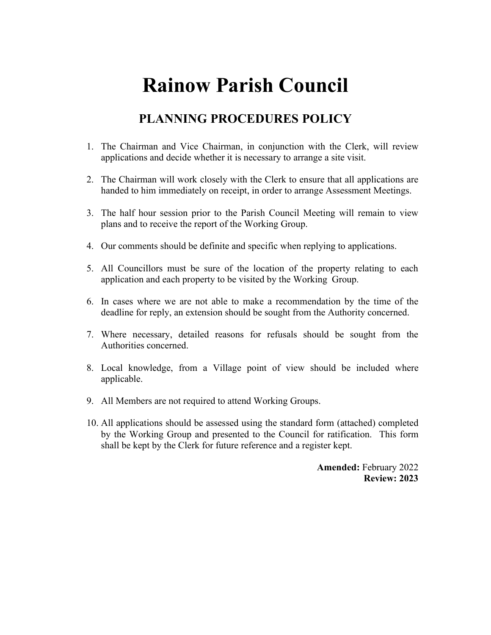## **Rainow Parish Council**

## **PLANNING PROCEDURES POLICY**

- 1. The Chairman and Vice Chairman, in conjunction with the Clerk, will review applications and decide whether it is necessary to arrange a site visit.
- 2. The Chairman will work closely with the Clerk to ensure that all applications are handed to him immediately on receipt, in order to arrange Assessment Meetings.
- 3. The half hour session prior to the Parish Council Meeting will remain to view plans and to receive the report of the Working Group.
- 4. Our comments should be definite and specific when replying to applications.
- 5. All Councillors must be sure of the location of the property relating to each application and each property to be visited by the Working Group.
- 6. In cases where we are not able to make a recommendation by the time of the deadline for reply, an extension should be sought from the Authority concerned.
- 7. Where necessary, detailed reasons for refusals should be sought from the Authorities concerned.
- 8. Local knowledge, from a Village point of view should be included where applicable.
- 9. All Members are not required to attend Working Groups.
- 10. All applications should be assessed using the standard form (attached) completed by the Working Group and presented to the Council for ratification. This form shall be kept by the Clerk for future reference and a register kept.

**Amended:** February 2022 **Review: 2023**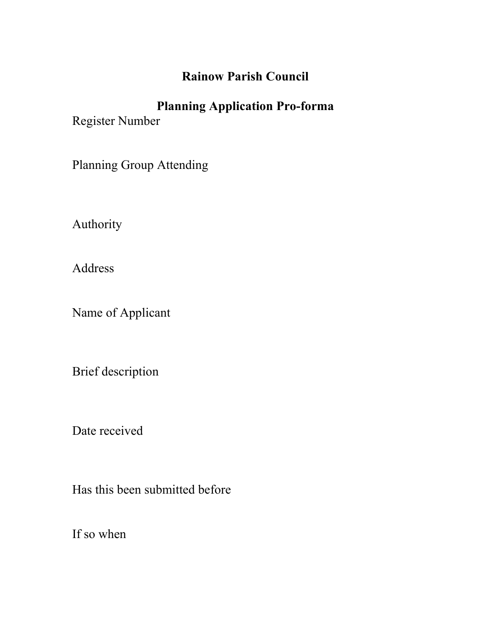## **Rainow Parish Council**

## **Planning Application Pro-forma**

Register Number

Planning Group Attending

Authority

Address

Name of Applicant

Brief description

Date received

Has this been submitted before

If so when